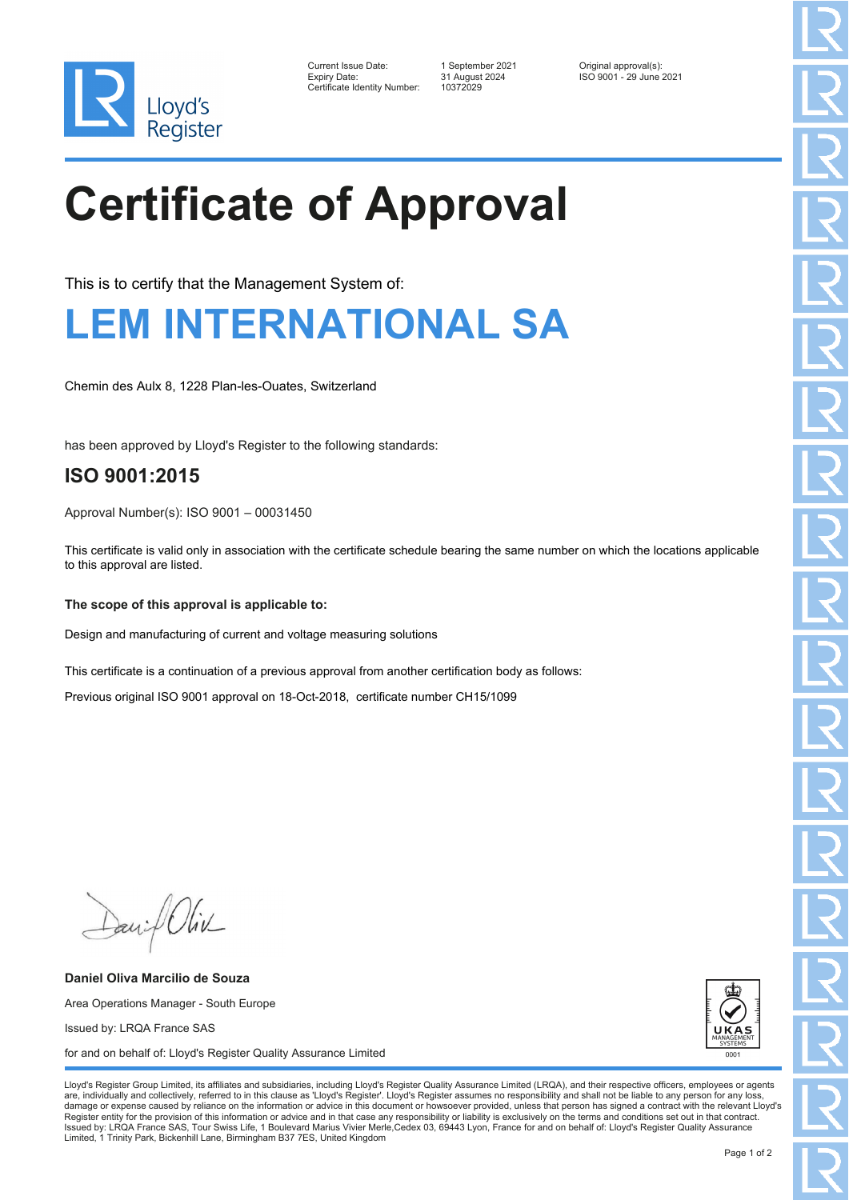

| Current Issue Date:          | 1 September 2021 | Original approval(s):   |
|------------------------------|------------------|-------------------------|
| Expiry Date:                 | 31 August 2024   | ISO 9001 - 29 June 2021 |
| Certificate Identity Number: | 10372029         |                         |

# **Certificate of Approval**

This is to certify that the Management System of:

### **LEM INTERNATIONAL SA**

Chemin des Aulx 8, 1228 Plan-les-Ouates, Switzerland

has been approved by Lloyd's Register to the following standards:

### **ISO 9001:2015**

Approval Number(s): ISO 9001 – 00031450

This certificate is valid only in association with the certificate schedule bearing the same number on which the locations applicable to this approval are listed.

#### **The scope of this approval is applicable to:**

Design and manufacturing of current and voltage measuring solutions

This certificate is a continuation of a previous approval from another certification body as follows:

Previous original ISO 9001 approval on 18-Oct-2018, certificate number CH15/1099

Daniel Oliv

**Daniel Oliva Marcilio de Souza** Area Operations Manager - South Europe Issued by: LRQA France SAS for and on behalf of: Lloyd's Register Quality Assurance Limited



Lloyd's Register Group Limited, its affiliates and subsidiaries, including Lloyd's Register Quality Assurance Limited (LRQA), and their respective officers, employees or agents are, individually and collectively, referred to in this clause as 'Lloyd's Register'. Lloyd's Register assumes no responsibility and shall not be liable to any person for any los damage or expense caused by reliance on the information or advice in this document or howsoever provided, unless that person has signed a contract with the relevant Lloyd's<br>Register entity for the provision of this informa Issued by: LRQA France SAS, Tour Swiss Life, 1 Boulevard Marius Vivier Merle,Cedex 03, 69443 Lyon, France for and on behalf of: Lloyd's Register Quality Assurance Limited, 1 Trinity Park, Bickenhill Lane, Birmingham B37 7ES, United Kingdom